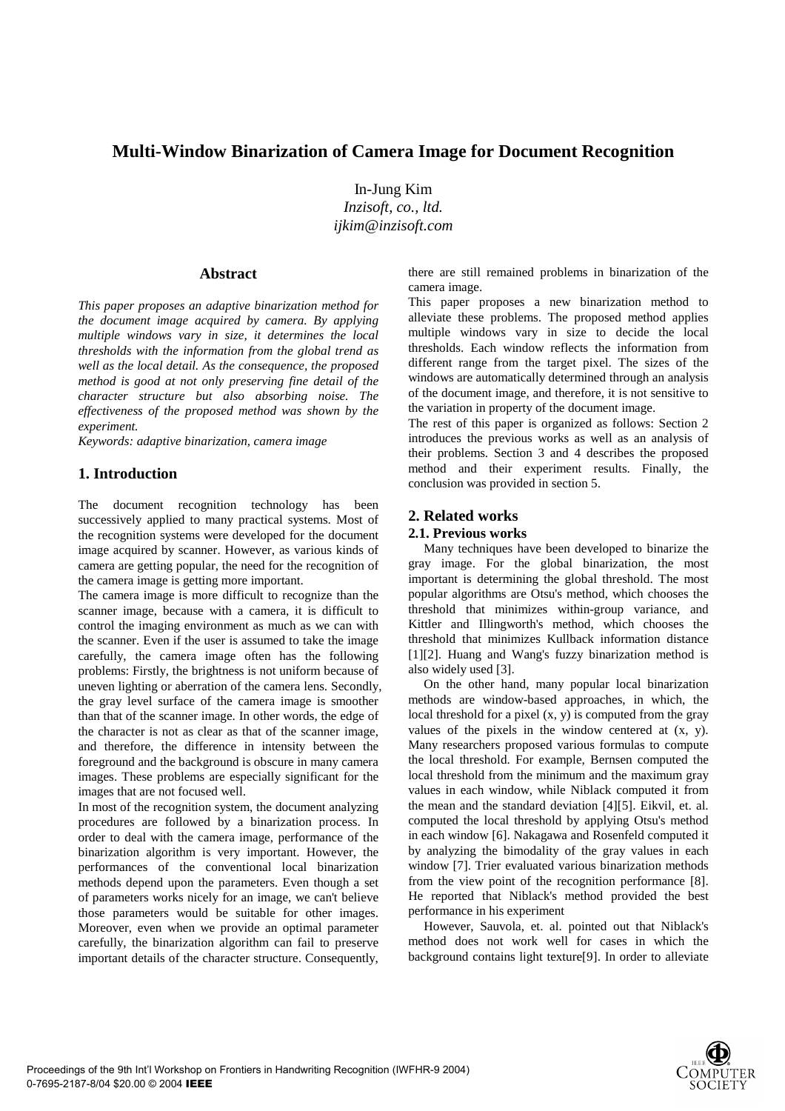# **Multi-Window Binarization of Camera Image for Document Recognition**

In-Jung Kim

*Inzisoft, co., ltd. ijkim@inzisoft.com*

#### **Abstract**

*This paper proposes an adaptive binarization method for the document image acquired by camera. By applying multiple windows vary in size, it determines the local thresholds with the information from the global trend as well as the local detail. As the consequence, the proposed method is good at not only preserving fine detail of the character structure but also absorbing noise. The effectiveness of the proposed method was shown by the experiment.* 

*Keywords: adaptive binarization, camera image* 

# **1. Introduction**

The document recognition technology has been successively applied to many practical systems. Most of the recognition systems were developed for the document image acquired by scanner. However, as various kinds of camera are getting popular, the need for the recognition of the camera image is getting more important.

The camera image is more difficult to recognize than the scanner image, because with a camera, it is difficult to control the imaging environment as much as we can with the scanner. Even if the user is assumed to take the image carefully, the camera image often has the following problems: Firstly, the brightness is not uniform because of uneven lighting or aberration of the camera lens. Secondly, the gray level surface of the camera image is smoother than that of the scanner image. In other words, the edge of the character is not as clear as that of the scanner image, and therefore, the difference in intensity between the foreground and the background is obscure in many camera images. These problems are especially significant for the images that are not focused well.

In most of the recognition system, the document analyzing procedures are followed by a binarization process. In order to deal with the camera image, performance of the binarization algorithm is very important. However, the performances of the conventional local binarization methods depend upon the parameters. Even though a set of parameters works nicely for an image, we can't believe those parameters would be suitable for other images. Moreover, even when we provide an optimal parameter carefully, the binarization algorithm can fail to preserve important details of the character structure. Consequently, there are still remained problems in binarization of the camera image.

This paper proposes a new binarization method to alleviate these problems. The proposed method applies multiple windows vary in size to decide the local thresholds. Each window reflects the information from different range from the target pixel. The sizes of the windows are automatically determined through an analysis of the document image, and therefore, it is not sensitive to the variation in property of the document image.

The rest of this paper is organized as follows: Section 2 introduces the previous works as well as an analysis of their problems. Section 3 and 4 describes the proposed method and their experiment results. Finally, the conclusion was provided in section 5.

# **2. Related works**

#### **2.1. Previous works**

Many techniques have been developed to binarize the gray image. For the global binarization, the most important is determining the global threshold. The most popular algorithms are Otsu's method, which chooses the threshold that minimizes within-group variance, and Kittler and Illingworth's method, which chooses the threshold that minimizes Kullback information distance [1][2]. Huang and Wang's fuzzy binarization method is also widely used [3].

On the other hand, many popular local binarization methods are window-based approaches, in which, the local threshold for a pixel  $(x, y)$  is computed from the gray values of the pixels in the window centered at (x, y). Many researchers proposed various formulas to compute the local threshold. For example, Bernsen computed the local threshold from the minimum and the maximum gray values in each window, while Niblack computed it from the mean and the standard deviation [4][5]. Eikvil, et. al. computed the local threshold by applying Otsu's method in each window [6]. Nakagawa and Rosenfeld computed it by analyzing the bimodality of the gray values in each window [7]. Trier evaluated various binarization methods from the view point of the recognition performance [8]. He reported that Niblack's method provided the best performance in his experiment

However, Sauvola, et. al. pointed out that Niblack's method does not work well for cases in which the background contains light texture[9]. In order to alleviate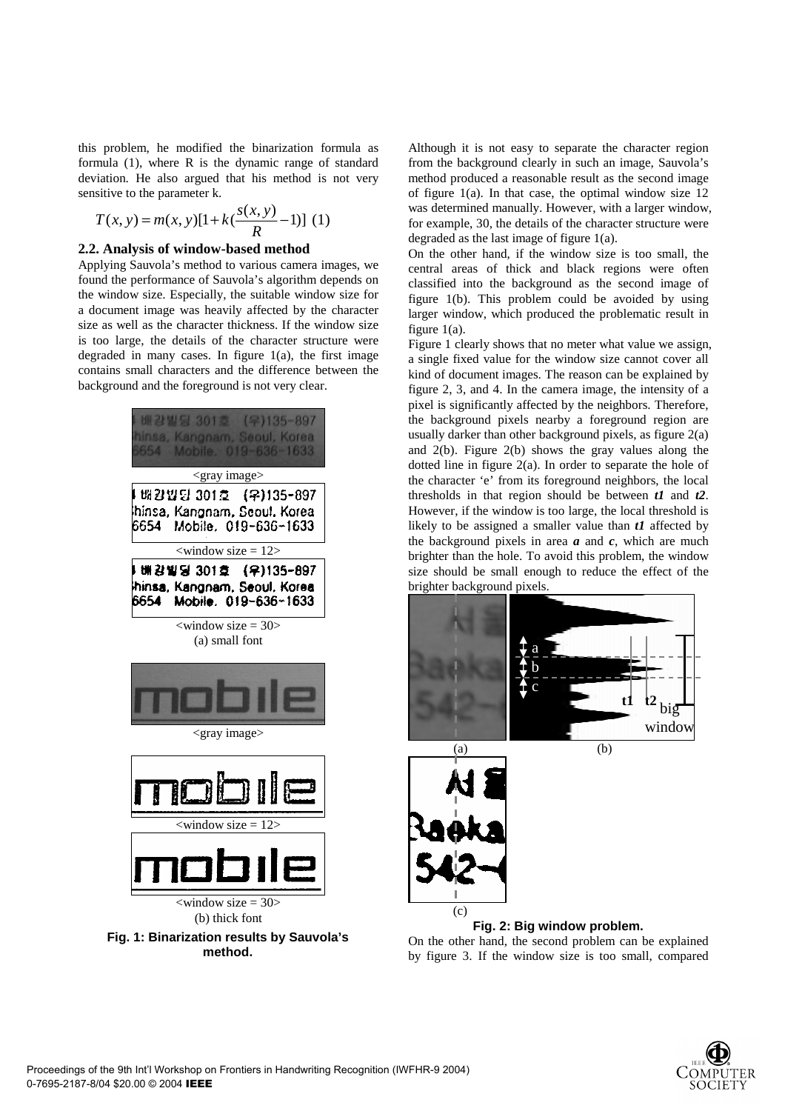this problem, he modified the binarization formula as formula (1), where R is the dynamic range of standard deviation. He also argued that his method is not very sensitive to the parameter k.

$$
T(x, y) = m(x, y)[1 + k(\frac{s(x, y)}{R} - 1)] (1)
$$

#### **2.2. Analysis of window-based method**

Applying Sauvola's method to various camera images, we found the performance of Sauvola's algorithm depends on the window size. Especially, the suitable window size for a document image was heavily affected by the character size as well as the character thickness. If the window size is too large, the details of the character structure were degraded in many cases. In figure 1(a), the first image contains small characters and the difference between the background and the foreground is not very clear.



**Fig. 1: Binarization results by Sauvola's method.** 

Although it is not easy to separate the character region from the background clearly in such an image, Sauvola's method produced a reasonable result as the second image of figure  $1(a)$ . In that case, the optimal window size 12 was determined manually. However, with a larger window, for example, 30, the details of the character structure were degraded as the last image of figure 1(a).

On the other hand, if the window size is too small, the central areas of thick and black regions were often classified into the background as the second image of figure 1(b). This problem could be avoided by using larger window, which produced the problematic result in figure 1(a).

Figure 1 clearly shows that no meter what value we assign, a single fixed value for the window size cannot cover all kind of document images. The reason can be explained by figure 2, 3, and 4. In the camera image, the intensity of a pixel is significantly affected by the neighbors. Therefore, the background pixels nearby a foreground region are usually darker than other background pixels, as figure 2(a) and 2(b). Figure 2(b) shows the gray values along the dotted line in figure 2(a). In order to separate the hole of the character 'e' from its foreground neighbors, the local thresholds in that region should be between *t1* and *t2*. However, if the window is too large, the local threshold is likely to be assigned a smaller value than *t1* affected by the background pixels in area  $a$  and  $c$ , which are much brighter than the hole. To avoid this problem, the window size should be small enough to reduce the effect of the brighter background pixels.



On the other hand, the second problem can be explained by figure 3. If the window size is too small, compared

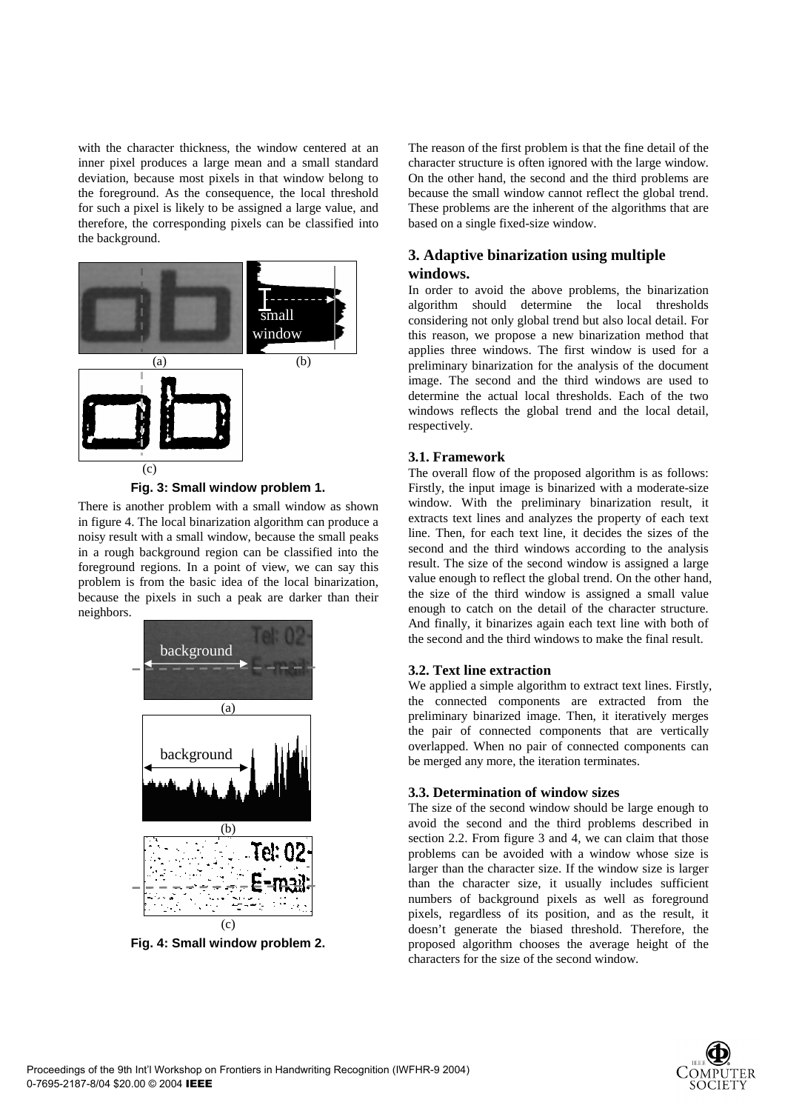with the character thickness, the window centered at an inner pixel produces a large mean and a small standard deviation, because most pixels in that window belong to the foreground. As the consequence, the local threshold for such a pixel is likely to be assigned a large value, and therefore, the corresponding pixels can be classified into the background.



**Fig. 3: Small window problem 1.** 

There is another problem with a small window as shown in figure 4. The local binarization algorithm can produce a noisy result with a small window, because the small peaks in a rough background region can be classified into the foreground regions. In a point of view, we can say this problem is from the basic idea of the local binarization, because the pixels in such a peak are darker than their neighbors.



**Fig. 4: Small window problem 2.** 

The reason of the first problem is that the fine detail of the character structure is often ignored with the large window. On the other hand, the second and the third problems are because the small window cannot reflect the global trend. These problems are the inherent of the algorithms that are based on a single fixed-size window.

# **3. Adaptive binarization using multiple windows.**

In order to avoid the above problems, the binarization algorithm should determine the local thresholds considering not only global trend but also local detail. For this reason, we propose a new binarization method that applies three windows. The first window is used for a preliminary binarization for the analysis of the document image. The second and the third windows are used to determine the actual local thresholds. Each of the two windows reflects the global trend and the local detail, respectively.

# **3.1. Framework**

The overall flow of the proposed algorithm is as follows: Firstly, the input image is binarized with a moderate-size window. With the preliminary binarization result, it extracts text lines and analyzes the property of each text line. Then, for each text line, it decides the sizes of the second and the third windows according to the analysis result. The size of the second window is assigned a large value enough to reflect the global trend. On the other hand, the size of the third window is assigned a small value enough to catch on the detail of the character structure. And finally, it binarizes again each text line with both of the second and the third windows to make the final result.

# **3.2. Text line extraction**

We applied a simple algorithm to extract text lines. Firstly, the connected components are extracted from the preliminary binarized image. Then, it iteratively merges the pair of connected components that are vertically overlapped. When no pair of connected components can be merged any more, the iteration terminates.

#### **3.3. Determination of window sizes**

The size of the second window should be large enough to avoid the second and the third problems described in section 2.2. From figure 3 and 4, we can claim that those problems can be avoided with a window whose size is larger than the character size. If the window size is larger than the character size, it usually includes sufficient numbers of background pixels as well as foreground pixels, regardless of its position, and as the result, it doesn't generate the biased threshold. Therefore, the proposed algorithm chooses the average height of the characters for the size of the second window.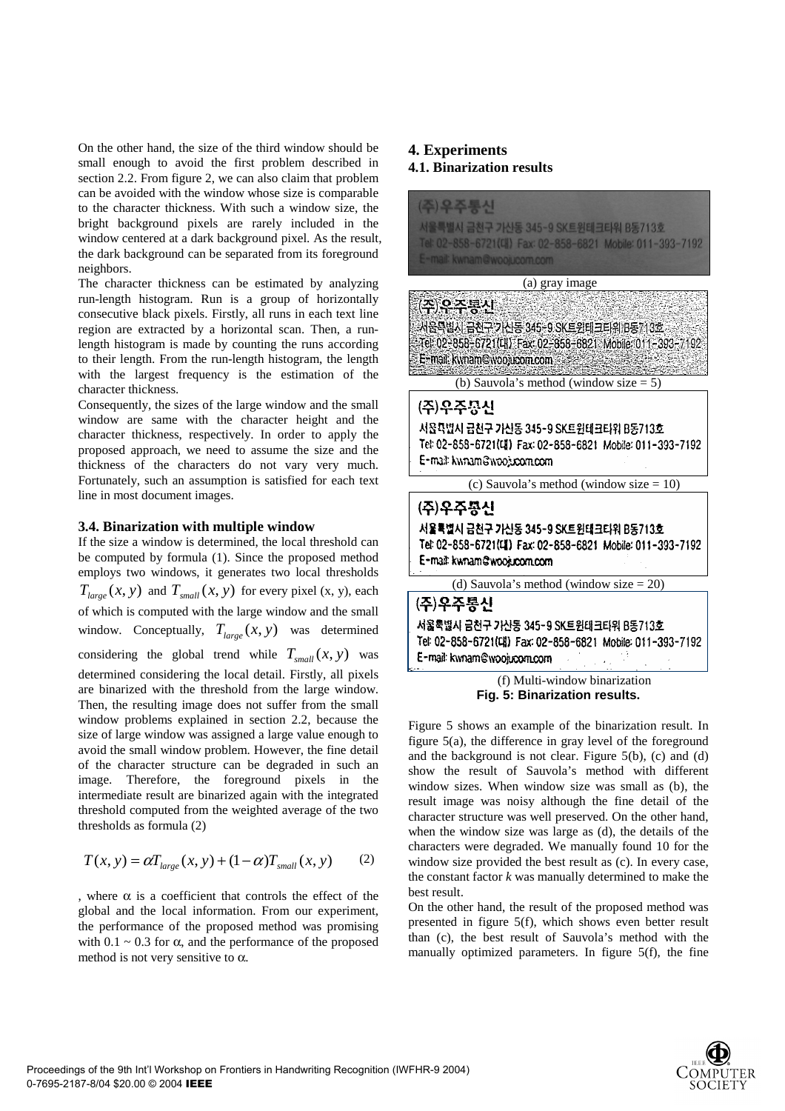On the other hand, the size of the third window should be small enough to avoid the first problem described in section 2.2. From figure 2, we can also claim that problem can be avoided with the window whose size is comparable to the character thickness. With such a window size, the bright background pixels are rarely included in the window centered at a dark background pixel. As the result, the dark background can be separated from its foreground neighbors.

The character thickness can be estimated by analyzing run-length histogram. Run is a group of horizontally consecutive black pixels. Firstly, all runs in each text line region are extracted by a horizontal scan. Then, a runlength histogram is made by counting the runs according to their length. From the run-length histogram, the length with the largest frequency is the estimation of the character thickness.

Consequently, the sizes of the large window and the small window are same with the character height and the character thickness, respectively. In order to apply the proposed approach, we need to assume the size and the thickness of the characters do not vary very much. Fortunately, such an assumption is satisfied for each text line in most document images.

#### **3.4. Binarization with multiple window**

If the size a window is determined, the local threshold can be computed by formula (1). Since the proposed method employs two windows, it generates two local thresholds  $T_{large} (x, y)$  and  $T_{small} (x, y)$  for every pixel (x, y), each of which is computed with the large window and the small window. Conceptually,  $T_{large}(x, y)$  was determined considering the global trend while  $T_{small}(x, y)$  was determined considering the local detail. Firstly, all pixels are binarized with the threshold from the large window. Then, the resulting image does not suffer from the small window problems explained in section 2.2, because the size of large window was assigned a large value enough to avoid the small window problem. However, the fine detail of the character structure can be degraded in such an image. Therefore, the foreground pixels in the intermediate result are binarized again with the integrated threshold computed from the weighted average of the two thresholds as formula (2)

$$
T(x, y) = \alpha T_{large}(x, y) + (1 - \alpha) T_{small}(x, y)
$$
 (2)

, where  $\alpha$  is a coefficient that controls the effect of the global and the local information. From our experiment, the performance of the proposed method was promising with  $0.1 \sim 0.3$  for  $\alpha$ , and the performance of the proposed method is not very sensitive to  $\alpha$ .

# **4. Experiments 4.1. Binarization results**

서울특별시 금천구 가산동 345-9 SK트윈테크타워 B동713호

Tel: 02-858-6721(대) Fax: 02-858-6821 Mobile: 011-393-7192 mail: kwnam@woojucom.com

#### (a) gray image

사율특별시 금천구 기산동 345-9 SK트윈테크타위 B동713호 Tel: 02-858-6721(4) Fax: 02-858-6821 Mobile: 011-393-7102 E-mail: kwnam@woojucom.com

(b) Sauvola's method (window size = 5)

# (주)우주통신

서울특별시 급천구 가산동 345-9 SK트윈테크타워 B동713호 Tel: 02-858-6721(CII) Fax: 02-858-6821 Mobile: 011-393-7192 E-mail: kwnam@woojucom.com

(c) Sauvola's method (window size = 10)

# (주)우주봉신

서울특별시 금천구 가신동 345-9 SK트윈테크타워 B동713호 Tel: 02-858-6721(LII) Fax: 02-858-6821 Mobile: 011-393-7192 E-mail: kwnam@woojucom.com

(d) Sauvola's method (window size = 20)

(주)우주봉신 서울특별시 금천구 기신동 345-9 SK트윈태크타워 B동713호 Tel: 02-858-6721(대) Fax: 02-858-6821 Mobile: 011-393-7192 E-mail: kwnam@woojucom.com  $\sim 1$ 



Figure 5 shows an example of the binarization result. In figure 5(a), the difference in gray level of the foreground and the background is not clear. Figure 5(b), (c) and (d) show the result of Sauvola's method with different window sizes. When window size was small as (b), the result image was noisy although the fine detail of the character structure was well preserved. On the other hand, when the window size was large as (d), the details of the characters were degraded. We manually found 10 for the window size provided the best result as (c). In every case, the constant factor *k* was manually determined to make the best result.

On the other hand, the result of the proposed method was presented in figure 5(f), which shows even better result than (c), the best result of Sauvola's method with the manually optimized parameters. In figure 5(f), the fine